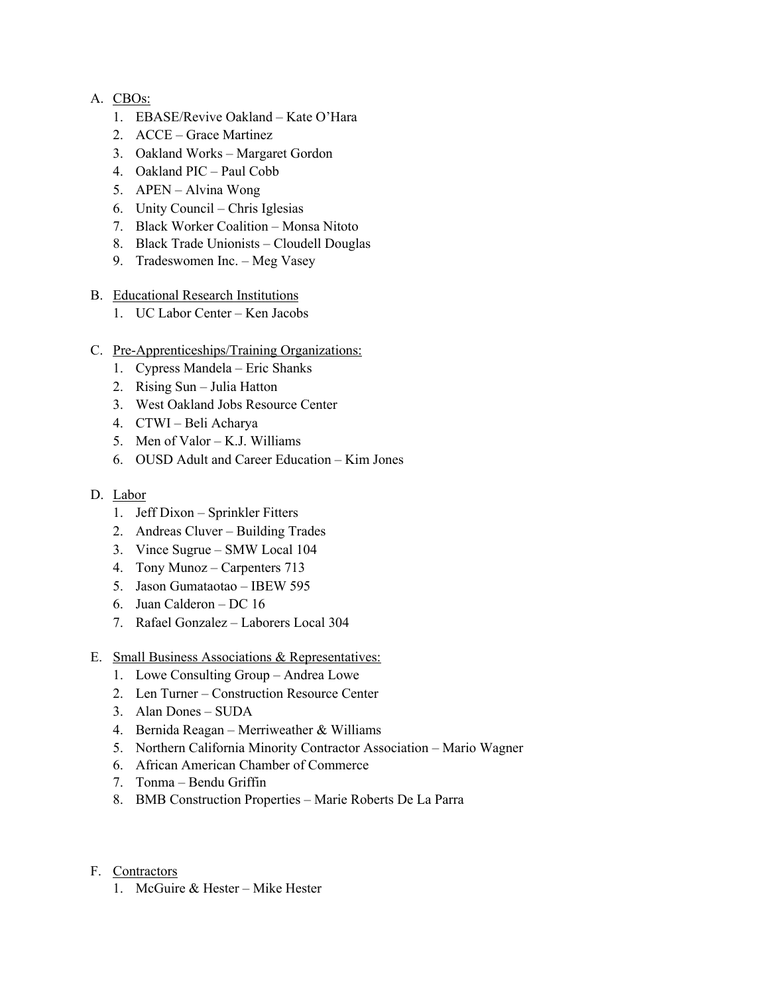## A. CBOs:

- 1. EBASE/Revive Oakland Kate O'Hara
- 2. ACCE Grace Martinez
- 3. Oakland Works Margaret Gordon
- 4. Oakland PIC Paul Cobb
- 5. APEN Alvina Wong
- 6. Unity Council Chris Iglesias
- 7. Black Worker Coalition Monsa Nitoto
- 8. Black Trade Unionists Cloudell Douglas
- 9. Tradeswomen Inc. Meg Vasey

## B. Educational Research Institutions

- 1. UC Labor Center Ken Jacobs
- C. Pre-Apprenticeships/Training Organizations:
	- 1. Cypress Mandela Eric Shanks
	- 2. Rising Sun Julia Hatton
	- 3. West Oakland Jobs Resource Center
	- 4. CTWI Beli Acharya
	- 5. Men of Valor K.J. Williams
	- 6. OUSD Adult and Career Education Kim Jones

## D. Labor

- 1. Jeff Dixon Sprinkler Fitters
- 2. Andreas Cluver Building Trades
- 3. Vince Sugrue SMW Local 104
- 4. Tony Munoz Carpenters 713
- 5. Jason Gumataotao IBEW 595
- 6. Juan Calderon DC 16
- 7. Rafael Gonzalez Laborers Local 304
- E. Small Business Associations & Representatives:
	- 1. Lowe Consulting Group Andrea Lowe
	- 2. Len Turner Construction Resource Center
	- 3. Alan Dones SUDA
	- 4. Bernida Reagan Merriweather & Williams
	- 5. Northern California Minority Contractor Association Mario Wagner
	- 6. African American Chamber of Commerce
	- 7. Tonma Bendu Griffin
	- 8. BMB Construction Properties Marie Roberts De La Parra
- F. Contractors
	- 1. McGuire & Hester Mike Hester